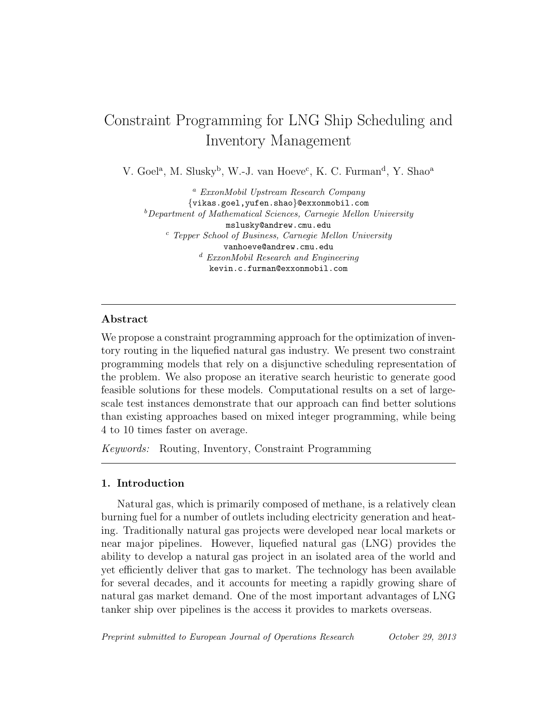# Constraint Programming for LNG Ship Scheduling and Inventory Management

V. Goel<sup>a</sup>, M. Slusky<sup>b</sup>, W.-J. van Hoeve<sup>c</sup>, K. C. Furman<sup>d</sup>, Y. Shao<sup>a</sup>

<sup>a</sup> ExxonMobil Upstream Research Company {vikas.goel,yufen.shao}@exxonmobil.com  $b$ Department of Mathematical Sciences, Carnegie Mellon University mslusky@andrew.cmu.edu  $c$  Tepper School of Business, Carnegie Mellon University vanhoeve@andrew.cmu.edu <sup>d</sup> ExxonMobil Research and Engineering kevin.c.furman@exxonmobil.com

## Abstract

We propose a constraint programming approach for the optimization of inventory routing in the liquefied natural gas industry. We present two constraint programming models that rely on a disjunctive scheduling representation of the problem. We also propose an iterative search heuristic to generate good feasible solutions for these models. Computational results on a set of largescale test instances demonstrate that our approach can find better solutions than existing approaches based on mixed integer programming, while being 4 to 10 times faster on average.

Keywords: Routing, Inventory, Constraint Programming

## 1. Introduction

Natural gas, which is primarily composed of methane, is a relatively clean burning fuel for a number of outlets including electricity generation and heating. Traditionally natural gas projects were developed near local markets or near major pipelines. However, liquefied natural gas (LNG) provides the ability to develop a natural gas project in an isolated area of the world and yet efficiently deliver that gas to market. The technology has been available for several decades, and it accounts for meeting a rapidly growing share of natural gas market demand. One of the most important advantages of LNG tanker ship over pipelines is the access it provides to markets overseas.

Preprint submitted to European Journal of Operations Research October 29, 2013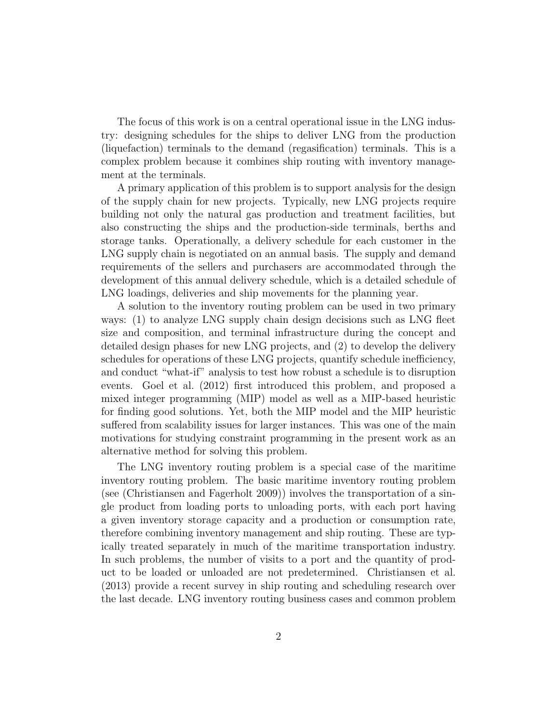The focus of this work is on a central operational issue in the LNG industry: designing schedules for the ships to deliver LNG from the production (liquefaction) terminals to the demand (regasification) terminals. This is a complex problem because it combines ship routing with inventory management at the terminals.

A primary application of this problem is to support analysis for the design of the supply chain for new projects. Typically, new LNG projects require building not only the natural gas production and treatment facilities, but also constructing the ships and the production-side terminals, berths and storage tanks. Operationally, a delivery schedule for each customer in the LNG supply chain is negotiated on an annual basis. The supply and demand requirements of the sellers and purchasers are accommodated through the development of this annual delivery schedule, which is a detailed schedule of LNG loadings, deliveries and ship movements for the planning year.

A solution to the inventory routing problem can be used in two primary ways: (1) to analyze LNG supply chain design decisions such as LNG fleet size and composition, and terminal infrastructure during the concept and detailed design phases for new LNG projects, and (2) to develop the delivery schedules for operations of these LNG projects, quantify schedule inefficiency, and conduct "what-if" analysis to test how robust a schedule is to disruption events. Goel et al. (2012) first introduced this problem, and proposed a mixed integer programming (MIP) model as well as a MIP-based heuristic for finding good solutions. Yet, both the MIP model and the MIP heuristic suffered from scalability issues for larger instances. This was one of the main motivations for studying constraint programming in the present work as an alternative method for solving this problem.

The LNG inventory routing problem is a special case of the maritime inventory routing problem. The basic maritime inventory routing problem (see (Christiansen and Fagerholt 2009)) involves the transportation of a single product from loading ports to unloading ports, with each port having a given inventory storage capacity and a production or consumption rate, therefore combining inventory management and ship routing. These are typically treated separately in much of the maritime transportation industry. In such problems, the number of visits to a port and the quantity of product to be loaded or unloaded are not predetermined. Christiansen et al. (2013) provide a recent survey in ship routing and scheduling research over the last decade. LNG inventory routing business cases and common problem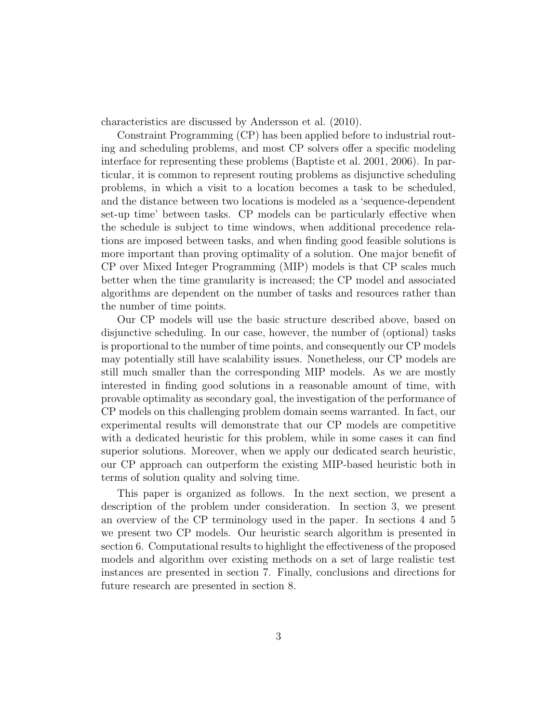characteristics are discussed by Andersson et al. (2010).

Constraint Programming (CP) has been applied before to industrial routing and scheduling problems, and most CP solvers offer a specific modeling interface for representing these problems (Baptiste et al. 2001, 2006). In particular, it is common to represent routing problems as disjunctive scheduling problems, in which a visit to a location becomes a task to be scheduled, and the distance between two locations is modeled as a 'sequence-dependent set-up time' between tasks. CP models can be particularly effective when the schedule is subject to time windows, when additional precedence relations are imposed between tasks, and when finding good feasible solutions is more important than proving optimality of a solution. One major benefit of CP over Mixed Integer Programming (MIP) models is that CP scales much better when the time granularity is increased; the CP model and associated algorithms are dependent on the number of tasks and resources rather than the number of time points.

Our CP models will use the basic structure described above, based on disjunctive scheduling. In our case, however, the number of (optional) tasks is proportional to the number of time points, and consequently our CP models may potentially still have scalability issues. Nonetheless, our CP models are still much smaller than the corresponding MIP models. As we are mostly interested in finding good solutions in a reasonable amount of time, with provable optimality as secondary goal, the investigation of the performance of CP models on this challenging problem domain seems warranted. In fact, our experimental results will demonstrate that our CP models are competitive with a dedicated heuristic for this problem, while in some cases it can find superior solutions. Moreover, when we apply our dedicated search heuristic, our CP approach can outperform the existing MIP-based heuristic both in terms of solution quality and solving time.

This paper is organized as follows. In the next section, we present a description of the problem under consideration. In section 3, we present an overview of the CP terminology used in the paper. In sections 4 and 5 we present two CP models. Our heuristic search algorithm is presented in section 6. Computational results to highlight the effectiveness of the proposed models and algorithm over existing methods on a set of large realistic test instances are presented in section 7. Finally, conclusions and directions for future research are presented in section 8.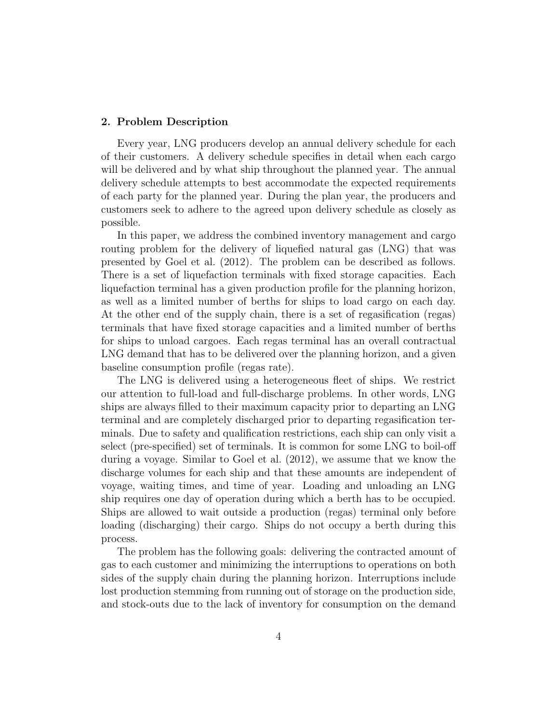#### 2. Problem Description

Every year, LNG producers develop an annual delivery schedule for each of their customers. A delivery schedule specifies in detail when each cargo will be delivered and by what ship throughout the planned year. The annual delivery schedule attempts to best accommodate the expected requirements of each party for the planned year. During the plan year, the producers and customers seek to adhere to the agreed upon delivery schedule as closely as possible.

In this paper, we address the combined inventory management and cargo routing problem for the delivery of liquefied natural gas (LNG) that was presented by Goel et al. (2012). The problem can be described as follows. There is a set of liquefaction terminals with fixed storage capacities. Each liquefaction terminal has a given production profile for the planning horizon, as well as a limited number of berths for ships to load cargo on each day. At the other end of the supply chain, there is a set of regasification (regas) terminals that have fixed storage capacities and a limited number of berths for ships to unload cargoes. Each regas terminal has an overall contractual LNG demand that has to be delivered over the planning horizon, and a given baseline consumption profile (regas rate).

The LNG is delivered using a heterogeneous fleet of ships. We restrict our attention to full-load and full-discharge problems. In other words, LNG ships are always filled to their maximum capacity prior to departing an LNG terminal and are completely discharged prior to departing regasification terminals. Due to safety and qualification restrictions, each ship can only visit a select (pre-specified) set of terminals. It is common for some LNG to boil-off during a voyage. Similar to Goel et al. (2012), we assume that we know the discharge volumes for each ship and that these amounts are independent of voyage, waiting times, and time of year. Loading and unloading an LNG ship requires one day of operation during which a berth has to be occupied. Ships are allowed to wait outside a production (regas) terminal only before loading (discharging) their cargo. Ships do not occupy a berth during this process.

The problem has the following goals: delivering the contracted amount of gas to each customer and minimizing the interruptions to operations on both sides of the supply chain during the planning horizon. Interruptions include lost production stemming from running out of storage on the production side, and stock-outs due to the lack of inventory for consumption on the demand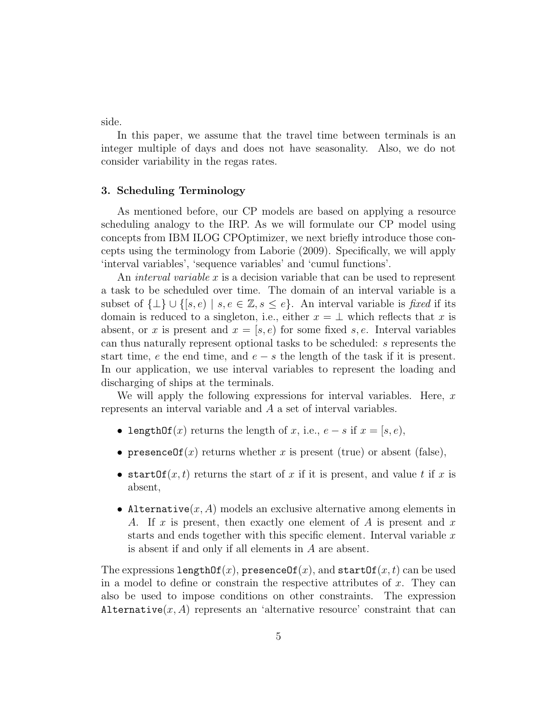side.

In this paper, we assume that the travel time between terminals is an integer multiple of days and does not have seasonality. Also, we do not consider variability in the regas rates.

#### 3. Scheduling Terminology

As mentioned before, our CP models are based on applying a resource scheduling analogy to the IRP. As we will formulate our CP model using concepts from IBM ILOG CPOptimizer, we next briefly introduce those concepts using the terminology from Laborie (2009). Specifically, we will apply 'interval variables', 'sequence variables' and 'cumul functions'.

An *interval variable x* is a decision variable that can be used to represent a task to be scheduled over time. The domain of an interval variable is a subset of  $\{\perp\} \cup \{[s, e) \mid s, e \in \mathbb{Z}, s \leq e\}$ . An interval variable is fixed if its domain is reduced to a singleton, i.e., either  $x = \perp$  which reflects that x is absent, or x is present and  $x = [s, e]$  for some fixed s, e. Interval variables can thus naturally represent optional tasks to be scheduled: s represents the start time, e the end time, and  $e - s$  the length of the task if it is present. In our application, we use interval variables to represent the loading and discharging of ships at the terminals.

We will apply the following expressions for interval variables. Here,  $x$ represents an interval variable and A a set of interval variables.

- lengthOf(x) returns the length of x, i.e.,  $e s$  if  $x = [s, e)$ ,
- presence  $\text{Of}(x)$  returns whether x is present (true) or absent (false),
- start  $\text{Of}(x, t)$  returns the start of x if it is present, and value t if x is absent,
- Alternative $(x, A)$  models an exclusive alternative among elements in A. If x is present, then exactly one element of A is present and x starts and ends together with this specific element. Interval variable  $x$ is absent if and only if all elements in A are absent.

The expressions lengthOf(x), presenceOf(x), and startOf(x, t) can be used in a model to define or constrain the respective attributes of  $x$ . They can also be used to impose conditions on other constraints. The expression Alternative $(x, A)$  represents an 'alternative resource' constraint that can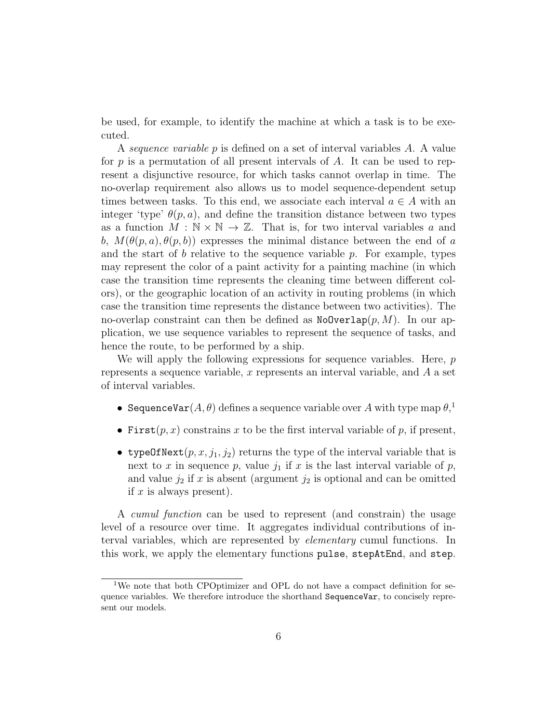be used, for example, to identify the machine at which a task is to be executed.

A sequence variable p is defined on a set of interval variables A. A value for p is a permutation of all present intervals of A. It can be used to represent a disjunctive resource, for which tasks cannot overlap in time. The no-overlap requirement also allows us to model sequence-dependent setup times between tasks. To this end, we associate each interval  $a \in A$  with an integer 'type'  $\theta(p, a)$ , and define the transition distance between two types as a function  $M : \mathbb{N} \times \mathbb{N} \to \mathbb{Z}$ . That is, for two interval variables a and b,  $M(\theta(p, a), \theta(p, b))$  expresses the minimal distance between the end of a and the start of b relative to the sequence variable  $p$ . For example, types may represent the color of a paint activity for a painting machine (in which case the transition time represents the cleaning time between different colors), or the geographic location of an activity in routing problems (in which case the transition time represents the distance between two activities). The no-overlap constraint can then be defined as  $NoOverlap(p, M)$ . In our application, we use sequence variables to represent the sequence of tasks, and hence the route, to be performed by a ship.

We will apply the following expressions for sequence variables. Here,  $p$ represents a sequence variable, x represents an interval variable, and  $\ddot{A}$  a set of interval variables.

- SequenceVar $(A, \theta)$  defines a sequence variable over  $A$  with type map  $\theta,^1$
- First $(p, x)$  constrains x to be the first interval variable of p, if present,
- typeOfNext $(p, x, j_1, j_2)$  returns the type of the interval variable that is next to x in sequence p, value  $j_1$  if x is the last interval variable of p, and value  $j_2$  if x is absent (argument  $j_2$  is optional and can be omitted if  $x$  is always present).

A cumul function can be used to represent (and constrain) the usage level of a resource over time. It aggregates individual contributions of interval variables, which are represented by elementary cumul functions. In this work, we apply the elementary functions pulse, stepAtEnd, and step.

<sup>1</sup>We note that both CPOptimizer and OPL do not have a compact definition for sequence variables. We therefore introduce the shorthand SequenceVar, to concisely represent our models.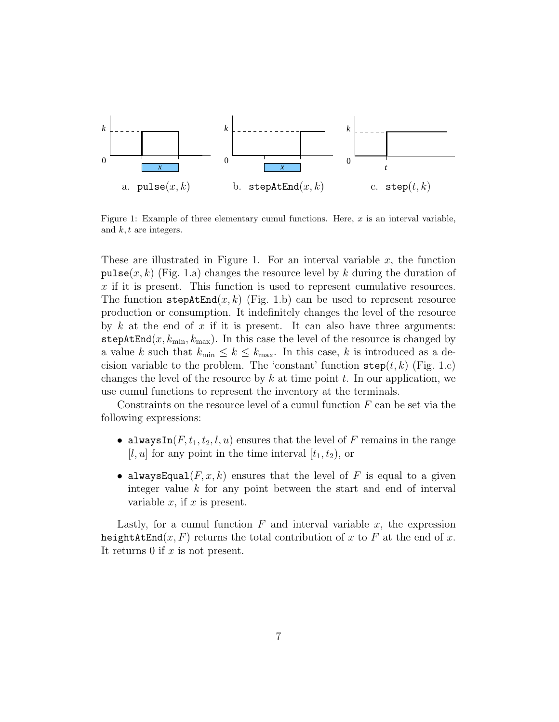

Figure 1: Example of three elementary cumul functions. Here,  $x$  is an interval variable, and  $k, t$  are integers.

These are illustrated in Figure 1. For an interval variable  $x$ , the function pulse $(x, k)$  (Fig. 1.a) changes the resource level by k during the duration of  $x$  if it is present. This function is used to represent cumulative resources. The function stepAtEnd $(x, k)$  (Fig. 1.b) can be used to represent resource production or consumption. It indefinitely changes the level of the resource by k at the end of x if it is present. It can also have three arguments: stepAtEnd(x,  $k_{\text{min}}$ ,  $k_{\text{max}}$ ). In this case the level of the resource is changed by a value k such that  $k_{\min} \leq k \leq k_{\max}$ . In this case, k is introduced as a decision variable to the problem. The 'constant' function  $\text{step}(t, k)$  (Fig. 1.c) changes the level of the resource by  $k$  at time point  $t$ . In our application, we use cumul functions to represent the inventory at the terminals.

Constraints on the resource level of a cumul function  $F$  can be set via the following expressions:

- alwaysIn( $F, t_1, t_2, l, u$ ) ensures that the level of F remains in the range  $[l, u]$  for any point in the time interval  $[t_1, t_2)$ , or
- alwaysEqual $(F, x, k)$  ensures that the level of F is equal to a given integer value  $k$  for any point between the start and end of interval variable  $x$ , if  $x$  is present.

Lastly, for a cumul function  $F$  and interval variable  $x$ , the expression heightAtEnd $(x, F)$  returns the total contribution of x to F at the end of x. It returns 0 if  $x$  is not present.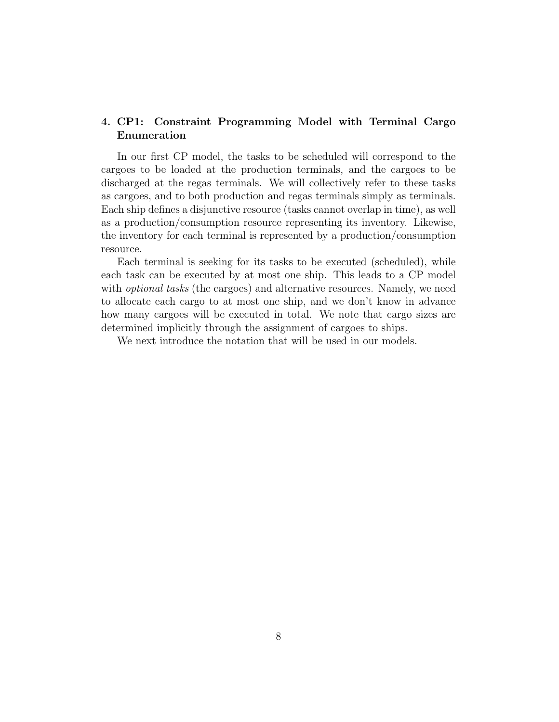# 4. CP1: Constraint Programming Model with Terminal Cargo Enumeration

In our first CP model, the tasks to be scheduled will correspond to the cargoes to be loaded at the production terminals, and the cargoes to be discharged at the regas terminals. We will collectively refer to these tasks as cargoes, and to both production and regas terminals simply as terminals. Each ship defines a disjunctive resource (tasks cannot overlap in time), as well as a production/consumption resource representing its inventory. Likewise, the inventory for each terminal is represented by a production/consumption resource.

Each terminal is seeking for its tasks to be executed (scheduled), while each task can be executed by at most one ship. This leads to a CP model with *optional tasks* (the cargoes) and alternative resources. Namely, we need to allocate each cargo to at most one ship, and we don't know in advance how many cargoes will be executed in total. We note that cargo sizes are determined implicitly through the assignment of cargoes to ships.

We next introduce the notation that will be used in our models.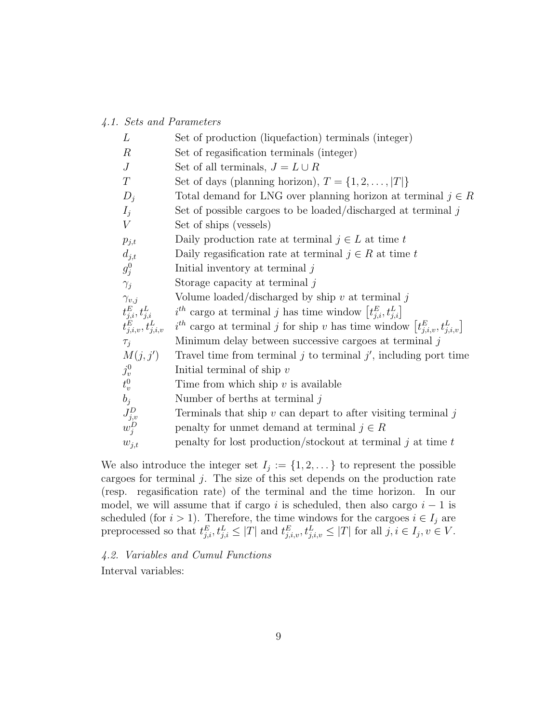# 4.1. Sets and Parameters

| L                              | Set of production (liquefaction) terminals (integer)                                 |
|--------------------------------|--------------------------------------------------------------------------------------|
| $\boldsymbol{R}$               | Set of regasification terminals (integer)                                            |
| J                              | Set of all terminals, $J = L \cup R$                                                 |
| T                              | Set of days (planning horizon), $T = \{1, 2, ,  T \}$                                |
| $D_i$                          | Total demand for LNG over planning horizon at terminal $j \in R$                     |
| $I_i$                          | Set of possible cargoes to be loaded/discharged at terminal $j$                      |
| V                              | Set of ships (vessels)                                                               |
| $p_{j,t}$                      | Daily production rate at terminal $j \in L$ at time t                                |
| $d_{j,t}$                      | Daily regasification rate at terminal $j \in R$ at time t                            |
| $g_j^0$                        | Initial inventory at terminal $j$                                                    |
| $\gamma_j$                     | Storage capacity at terminal $j$                                                     |
| $\gamma_{v,j}$                 | Volume loaded/discharged by ship $v$ at terminal $j$                                 |
| $t_{j,i}^E, t_{j,i}^L$         | $i^{th}$ cargo at terminal j has time window $[t_{i,i}^E, t_{i,i}^L]$                |
| $t_{j,i,v}^{E}, t_{j,i,v}^{L}$ | $i^{th}$ cargo at terminal j for ship v has time window $[t_{j,i,v}^E, t_{j,i,v}^L]$ |
| $\tau_j$                       | Minimum delay between successive cargoes at terminal $j$                             |
| M(j, j')                       | Travel time from terminal $j$ to terminal $j'$ , including port time                 |
| $j_v^0$                        | Initial terminal of ship $v$                                                         |
| $t_v^0$                        | Time from which ship $v$ is available                                                |
| $b_j$                          | Number of berths at terminal $j$                                                     |
| $J_{j,v}^D$                    | Terminals that ship $v$ can depart to after visiting terminal $j$                    |
| $w_i^D$                        | penalty for unmet demand at terminal $j \in R$                                       |
| $w_{j,t}$                      | penalty for lost production/stockout at terminal $j$ at time $t$                     |

We also introduce the integer set  $I_j := \{1, 2, \dots\}$  to represent the possible cargoes for terminal  $j$ . The size of this set depends on the production rate (resp. regasification rate) of the terminal and the time horizon. In our model, we will assume that if cargo i is scheduled, then also cargo  $i - 1$  is scheduled (for  $i > 1$ ). Therefore, the time windows for the cargoes  $i \in I_j$  are preprocessed so that  $t_{j,i}^E, t_{j,i}^L \leq |T|$  and  $t_{j,i,v}^E, t_{j,i,v}^L \leq |T|$  for all  $j, i \in I_j, v \in V$ .

4.2. Variables and Cumul Functions Interval variables: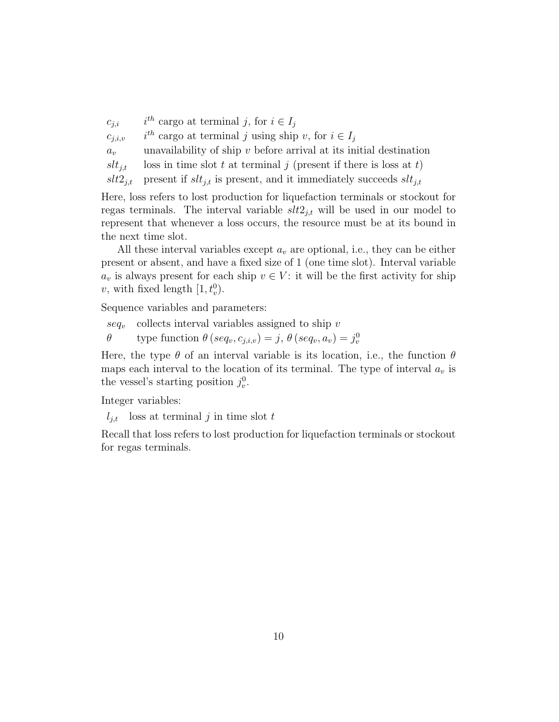$c_{j,i}$  $i^{th}$  cargo at terminal j, for  $i \in I_j$  $c_{j,i,v}$  $i^{th}$  cargo at terminal j using ship v, for  $i \in I_j$  $a_v$  unavailability of ship v before arrival at its initial destination  $slt_{i,t}$  loss in time slot t at terminal j (present if there is loss at t)  $slt2_{j,t}$  present if  $slt_{j,t}$  is present, and it immediately succeeds  $slt_{j,t}$ 

Here, loss refers to lost production for liquefaction terminals or stockout for regas terminals. The interval variable  $slt2_{j,t}$  will be used in our model to represent that whenever a loss occurs, the resource must be at its bound in the next time slot.

All these interval variables except  $a_v$  are optional, i.e., they can be either present or absent, and have a fixed size of 1 (one time slot). Interval variable  $a_v$  is always present for each ship  $v \in V$ : it will be the first activity for ship v, with fixed length  $[1, t_v^0)$ .

Sequence variables and parameters:

seq<sub>v</sub> collects interval variables assigned to ship v

 $\theta$  type function  $\theta$  (seq<sub>v</sub>, c<sub>j,i,v</sub>) = j,  $\theta$  (seq<sub>v</sub>, a<sub>v</sub>) = j<sup>0</sup><sub>v</sub>

Here, the type  $\theta$  of an interval variable is its location, i.e., the function  $\theta$ maps each interval to the location of its terminal. The type of interval  $a_v$  is the vessel's starting position  $j_v^0$ .

Integer variables:

 $l_{i,t}$  loss at terminal j in time slot t

Recall that loss refers to lost production for liquefaction terminals or stockout for regas terminals.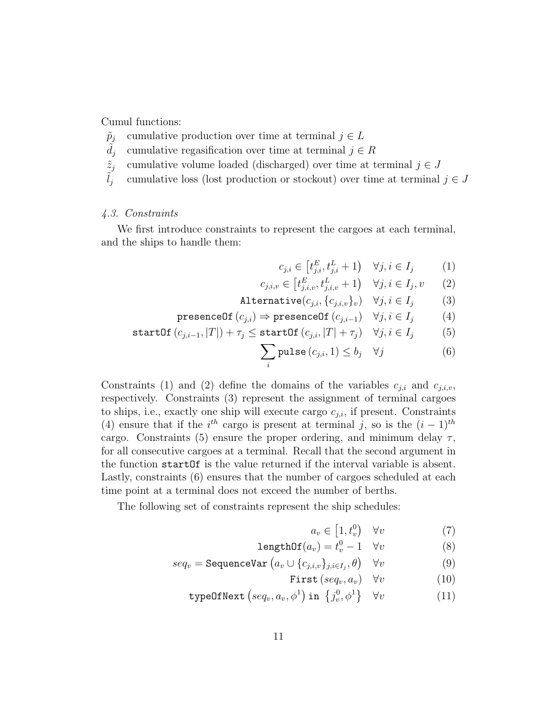Cumul functions:

- $\tilde{p}_i$  cumulative production over time at terminal  $j \in L$
- $d_i$  cumulative regasification over time at terminal  $j \in R$
- $\tilde{z}_j$  cumulative volume loaded (discharged) over time at terminal  $j \in J$ <br> $\tilde{l}_i$  cumulative loss (lost production or stockout) over time at terminal
- cumulative loss (lost production or stockout) over time at terminal  $j \in J$

#### 4.3. Constraints

We first introduce constraints to represent the cargoes at each terminal, and the ships to handle them:

$$
c_{j,i} \in \left[t_{j,i}^E, t_{j,i}^L + 1\right) \quad \forall j, i \in I_j \tag{1}
$$

$$
c_{j,i,v} \in \left[t_{j,i,v}^E, t_{j,i,v}^L + 1\right) \quad \forall j, i \in I_j, v \qquad (2)
$$

$$
\mathtt{Alternative}(c_{j,i}, \{c_{j,i,v}\}_v) \quad \forall j, i \in I_j \tag{3}
$$

$$
\text{presenceOf}(c_{j,i}) \Rightarrow \text{presenceOf}(c_{j,i-1}) \quad \forall j, i \in I_j \tag{4}
$$

$$
\text{startOf}(c_{j,i-1}, |T|) + \tau_j \leq \text{startOf}(c_{j,i}, |T| + \tau_j) \quad \forall j, i \in I_j \tag{5}
$$

$$
\sum_{i} \text{pulse}(c_{j,i}, 1) \le b_j \quad \forall j \tag{6}
$$

Constraints (1) and (2) define the domains of the variables  $c_{j,i}$  and  $c_{j,i,v}$ , respectively. Constraints (3) represent the assignment of terminal cargoes to ships, i.e., exactly one ship will execute cargo  $c_{i,i}$ , if present. Constraints (4) ensure that if the  $i^{th}$  cargo is present at terminal j, so is the  $(i - 1)^{th}$ cargo. Constraints (5) ensure the proper ordering, and minimum delay  $\tau$ , for all consecutive cargoes at a terminal. Recall that the second argument in the function startOf is the value returned if the interval variable is absent. Lastly, constraints (6) ensures that the number of cargoes scheduled at each time point at a terminal does not exceed the number of berths.

The following set of constraints represent the ship schedules:

$$
a_v \in \left[1, t_v^0\right) \quad \forall v \tag{7}
$$

$$
lengthOf(a_v) = t_v^0 - 1 \quad \forall v \tag{8}
$$

$$
seq_v = \text{SequenceVar}\left(a_v \cup \{c_{j,i,v}\}_{j,i \in I_j}, \theta\right) \quad \forall v \tag{9}
$$

- First  $(seq_v, a_v) \quad \forall v$  (10)
- $\tt typeOfNext}\left( seq_v, a_v, \phi^1 \right)$  in  $\left\{ j_v^0, \phi^1 \right\}$  $\forall v$  (11)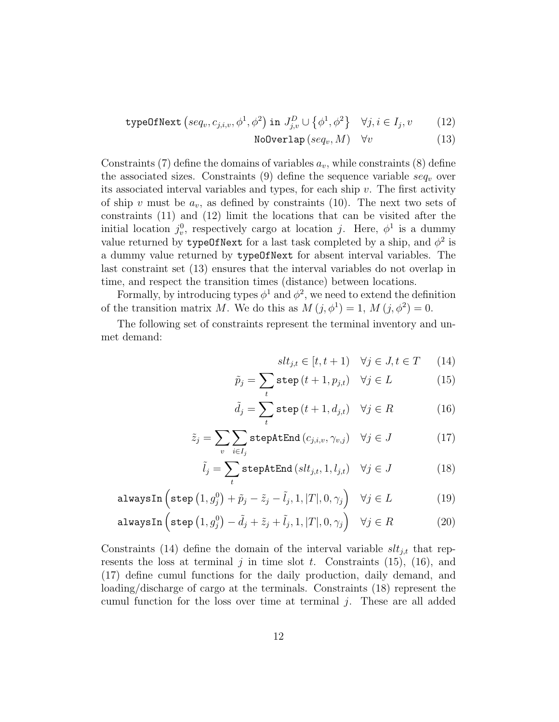$$
\text{typeOfNext}\left(\text{seq}_v, c_{j,i,v}, \phi^1, \phi^2\right) \text{ in } J_{j,v}^D \cup \left\{\phi^1, \phi^2\right\} \quad \forall j, i \in I_j, v \tag{12}
$$

NoOverlap(
$$
seq_v, M
$$
)  $\forall v$  (13)

Constraints (7) define the domains of variables  $a_v$ , while constraints (8) define the associated sizes. Constraints (9) define the sequence variable  $seq_v$  over its associated interval variables and types, for each ship  $v$ . The first activity of ship v must be  $a_v$ , as defined by constraints (10). The next two sets of constraints (11) and (12) limit the locations that can be visited after the initial location  $j_v^0$ , respectively cargo at location j. Here,  $\phi^1$  is a dummy value returned by typeOfNext for a last task completed by a ship, and  $\phi^2$  is a dummy value returned by typeOfNext for absent interval variables. The last constraint set (13) ensures that the interval variables do not overlap in time, and respect the transition times (distance) between locations.

Formally, by introducing types  $\phi^1$  and  $\phi^2$ , we need to extend the definition of the transition matrix M. We do this as  $M(j, \phi^1) = 1, M(j, \phi^2) = 0$ .

The following set of constraints represent the terminal inventory and unmet demand:

$$
slt_{j,t} \in [t, t+1) \quad \forall j \in J, t \in T \qquad (14)
$$

$$
\tilde{p}_j = \sum_t \text{step}(t+1, p_{j,t}) \quad \forall j \in L \tag{15}
$$

$$
\tilde{d}_j = \sum_t \text{step}\left(t+1, d_{j,t}\right) \quad \forall j \in R \tag{16}
$$

$$
\tilde{z}_j = \sum_{v} \sum_{i \in I_j} \text{stepAtEnd} (c_{j,i,v}, \gamma_{v,j}) \quad \forall j \in J \tag{17}
$$

$$
\tilde{l}_j = \sum_t \text{stepAtEnd}\left(slt_{j,t}, 1, l_{j,t}\right) \quad \forall j \in J \tag{18}
$$

alwaysIn 
$$
\left(\text{step}\left(1, g_j^0\right) + \tilde{p}_j - \tilde{z}_j - \tilde{l}_j, 1, |T|, 0, \gamma_j\right) \quad \forall j \in L
$$
 (19)

alwaysIn 
$$
\left(\text{step}\left(1, g_j^0\right) - \tilde{d}_j + \tilde{z}_j + \tilde{l}_j, 1, |T|, 0, \gamma_j\right) \quad \forall j \in R
$$
 (20)

Constraints (14) define the domain of the interval variable  $slt_{i,t}$  that represents the loss at terminal j in time slot t. Constraints  $(15)$ ,  $(16)$ , and (17) define cumul functions for the daily production, daily demand, and loading/discharge of cargo at the terminals. Constraints (18) represent the cumul function for the loss over time at terminal  $j$ . These are all added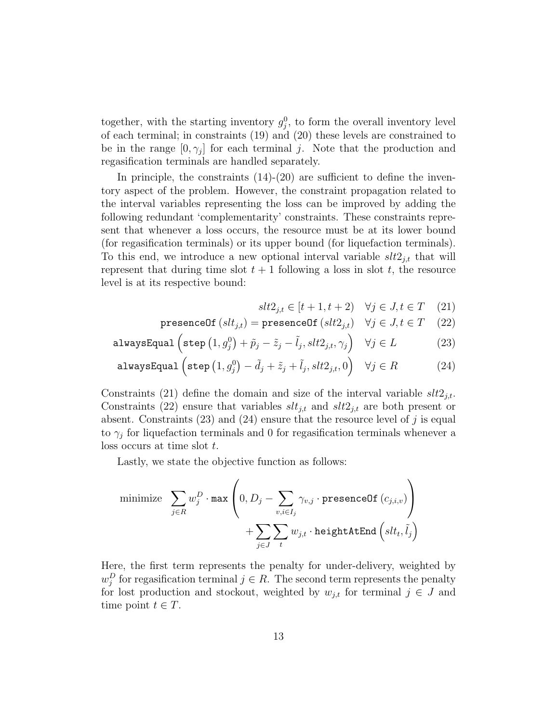together, with the starting inventory  $g_j^0$ , to form the overall inventory level of each terminal; in constraints (19) and (20) these levels are constrained to be in the range  $[0, \gamma_j]$  for each terminal j. Note that the production and regasification terminals are handled separately.

In principle, the constraints  $(14)-(20)$  are sufficient to define the inventory aspect of the problem. However, the constraint propagation related to the interval variables representing the loss can be improved by adding the following redundant 'complementarity' constraints. These constraints represent that whenever a loss occurs, the resource must be at its lower bound (for regasification terminals) or its upper bound (for liquefaction terminals). To this end, we introduce a new optional interval variable  $slt2_{j,t}$  that will represent that during time slot  $t + 1$  following a loss in slot t, the resource level is at its respective bound:

$$
slt2_{j,t} \in [t+1, t+2) \quad \forall j \in J, t \in T \quad (21)
$$

$$
\texttt{presenceOf}(slt_{j,t}) = \texttt{presenceOf}(slt2_{j,t}) \quad \forall j \in J, t \in T \quad (22)
$$

always  
Equal 
$$
(\text{step}(1, g_j^0) + \tilde{p}_j - \tilde{z}_j - \tilde{l}_j, slt2_{j,t}, \gamma_j)
$$
  $\forall j \in L$  (23)

always  
Equal 
$$
(\text{step}(1, g_j^0) - \tilde{d}_j + \tilde{z}_j + \tilde{l}_j, slt2_{j,t}, 0) \quad \forall j \in R
$$
 (24)

Constraints (21) define the domain and size of the interval variable  $slt2_{j,t}$ . Constraints (22) ensure that variables  $slt_{j,t}$  and  $slt_{j,t}$  are both present or absent. Constraints  $(23)$  and  $(24)$  ensure that the resource level of j is equal to  $\gamma_j$  for liquefaction terminals and 0 for regasification terminals whenever a loss occurs at time slot t.

Lastly, we state the objective function as follows:

$$
\begin{aligned}\n\text{minimize} \quad & \sum_{j \in R} w_j^D \cdot \max \left(0, D_j - \sum_{v, i \in I_j} \gamma_{v, j} \cdot \text{presenceOf}(c_{j, i, v})\right) \\
& \quad + \sum_{j \in J} \sum_t w_{j, t} \cdot \text{heightAtEnd}\left(s l t_t, \tilde{l}_j\right)\n\end{aligned}
$$

Here, the first term represents the penalty for under-delivery, weighted by  $w_j^D$  for regasification terminal  $j \in R$ . The second term represents the penalty for lost production and stockout, weighted by  $w_{j,t}$  for terminal  $j \in J$  and time point  $t \in T$ .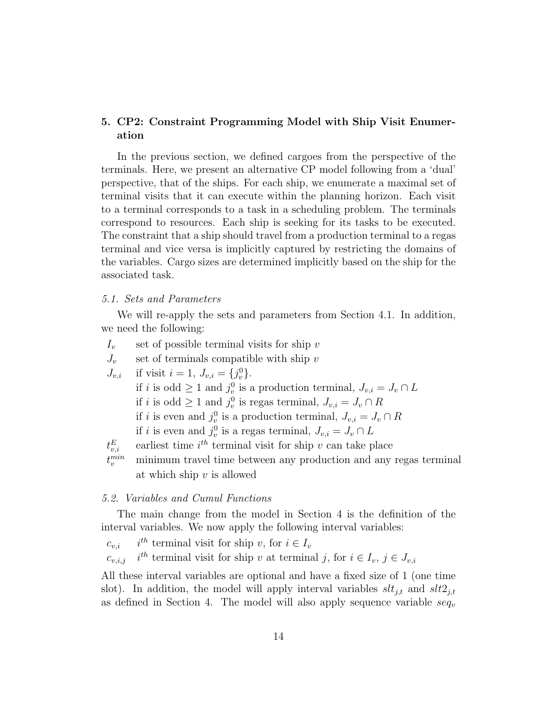# 5. CP2: Constraint Programming Model with Ship Visit Enumeration

In the previous section, we defined cargoes from the perspective of the terminals. Here, we present an alternative CP model following from a 'dual' perspective, that of the ships. For each ship, we enumerate a maximal set of terminal visits that it can execute within the planning horizon. Each visit to a terminal corresponds to a task in a scheduling problem. The terminals correspond to resources. Each ship is seeking for its tasks to be executed. The constraint that a ship should travel from a production terminal to a regas terminal and vice versa is implicitly captured by restricting the domains of the variables. Cargo sizes are determined implicitly based on the ship for the associated task.

#### 5.1. Sets and Parameters

We will re-apply the sets and parameters from Section 4.1. In addition, we need the following:

- $I_v$  set of possible terminal visits for ship v
- $J_v$  set of terminals compatible with ship v
- $J_{v,i}$  if visit  $i = 1, J_{v,i} = \{j_v^0\}.$ if *i* is odd  $\geq 1$  and  $j_v^0$  is a production terminal,  $J_{v,i} = J_v \cap L$ if *i* is odd  $\geq 1$  and  $j_v^0$  is regas terminal,  $J_{v,i} = J_v \cap R$ if *i* is even and  $j_v^0$  is a production terminal,  $J_{v,i} = J_v \cap R$ if *i* is even and  $j_v^0$  is a regas terminal,  $J_{v,i} = J_v \cap L$  $t^E_v$  $\mathcal{E}_{v,i}$  earliest time  $i^{th}$  terminal visit for ship v can take place  $t_v^{min}$ minimum travel time between any production and any regas terminal at which ship  $v$  is allowed

#### 5.2. Variables and Cumul Functions

The main change from the model in Section 4 is the definition of the interval variables. We now apply the following interval variables:

 $c_{v,i}$  $i^{th}$  terminal visit for ship v, for  $i \in I_v$ 

 $c_{v,i,j}$  $i^{th}$  terminal visit for ship v at terminal j, for  $i \in I_v$ ,  $j \in J_{v,i}$ 

All these interval variables are optional and have a fixed size of 1 (one time slot). In addition, the model will apply interval variables  $slt_{i,t}$  and  $slt_{i,t}$ as defined in Section 4. The model will also apply sequence variable  $seq_v$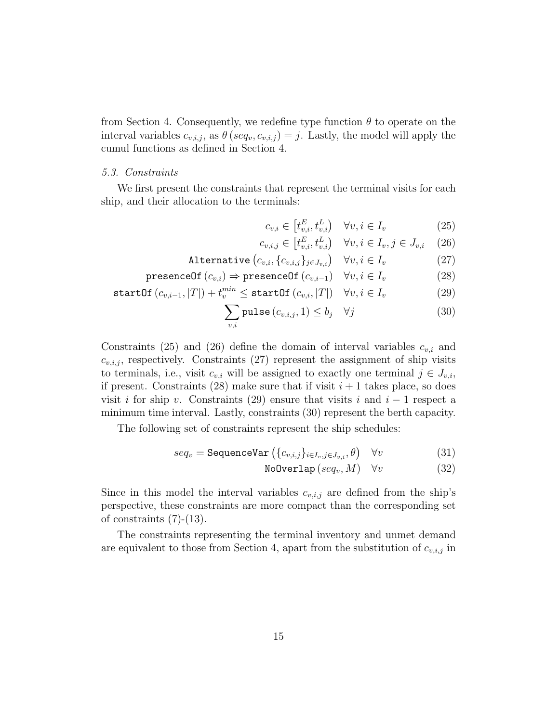from Section 4. Consequently, we redefine type function  $\theta$  to operate on the interval variables  $c_{v,i,j}$ , as  $\theta$  (seq<sub>v</sub>,  $c_{v,i,j}$ ) = j. Lastly, the model will apply the cumul functions as defined in Section 4.

#### 5.3. Constraints

We first present the constraints that represent the terminal visits for each ship, and their allocation to the terminals:

$$
c_{v,i} \in \left[t_{v,i}^E, t_{v,i}^L\right) \quad \forall v, i \in I_v \tag{25}
$$

$$
c_{v,i,j} \in \begin{bmatrix} t_{v,i}^E, t_{v,i}^L \end{bmatrix} \quad \forall v, i \in I_v, j \in J_{v,i} \quad (26)
$$

$$
\text{Alternative}\left(c_{v,i}, \{c_{v,i,j}\}_{j \in J_{v,i}}\right) \quad \forall v, i \in I_v \tag{27}
$$

$$
\text{presenceOf}(c_{v,i}) \Rightarrow \text{presenceOf}(c_{v,i-1}) \quad \forall v, i \in I_v \tag{28}
$$

$$
\text{startOf}(c_{v,i-1}, |T|) + t_v^{min} \le \text{startOf}(c_{v,i}, |T|) \quad \forall v, i \in I_v
$$
\n
$$
(29)
$$

$$
\sum_{v,i} \text{pulse}(c_{v,i,j}, 1) \le b_j \quad \forall j \tag{30}
$$

Constraints (25) and (26) define the domain of interval variables  $c_{v,i}$  and  $c_{v,i,j}$ , respectively. Constraints (27) represent the assignment of ship visits to terminals, i.e., visit  $c_{v,i}$  will be assigned to exactly one terminal  $j \in J_{v,i}$ , if present. Constraints (28) make sure that if visit  $i + 1$  takes place, so does visit *i* for ship v. Constraints (29) ensure that visits *i* and  $i - 1$  respect a minimum time interval. Lastly, constraints (30) represent the berth capacity.

The following set of constraints represent the ship schedules:

$$
seq_v = \text{SequenceVar}\left(\{c_{v,i,j}\}_{i \in I_v, j \in J_{v,i}}, \theta\right) \quad \forall v \tag{31}
$$

$$
\mathtt{NoOverlap}\left( seq_v, M \right) \quad \forall v \tag{32}
$$

Since in this model the interval variables  $c_{v,i,j}$  are defined from the ship's perspective, these constraints are more compact than the corresponding set of constraints  $(7)-(13)$ .

The constraints representing the terminal inventory and unmet demand are equivalent to those from Section 4, apart from the substitution of  $c_{v,i,j}$  in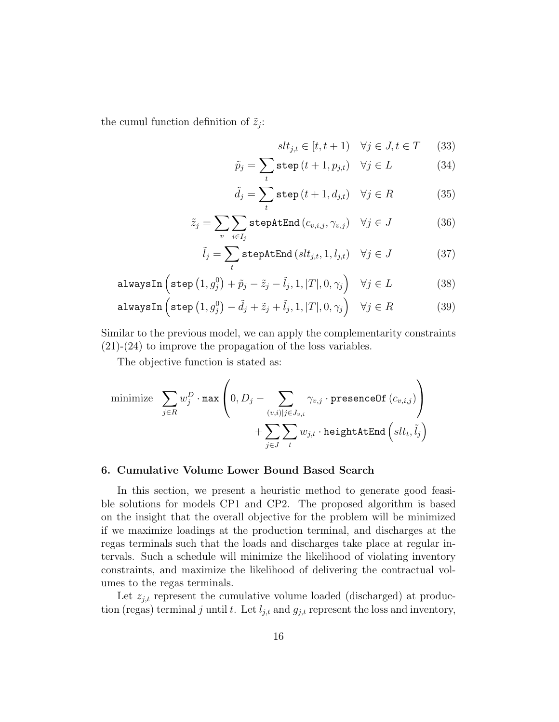the cumul function definition of  $\tilde{z}_j$ :

$$
slt_{j,t} \in [t, t+1) \quad \forall j \in J, t \in T \qquad (33)
$$

$$
\tilde{p}_j = \sum_t \text{step}(t+1, p_{j,t}) \quad \forall j \in L \tag{34}
$$

$$
\tilde{d}_j = \sum_t \text{step}(t+1, d_{j,t}) \quad \forall j \in R \tag{35}
$$

$$
\tilde{z}_j = \sum_{v} \sum_{i \in I_j} \text{stepAtEnd} (c_{v,i,j}, \gamma_{v,j}) \quad \forall j \in J \tag{36}
$$

$$
\tilde{l}_j = \sum_t \text{stepAtEnd}\left(slt_{j,t}, 1, l_{j,t}\right) \quad \forall j \in J \tag{37}
$$

alwaysIn 
$$
\left(\text{step}\left(1, g_j^0\right) + \tilde{p}_j - \tilde{z}_j - \tilde{l}_j, 1, |T|, 0, \gamma_j\right) \quad \forall j \in L
$$
 (38)

alwaysIn 
$$
(\text{step}(1, g_j^0) - \tilde{d}_j + \tilde{z}_j + \tilde{l}_j, 1, |T|, 0, \gamma_j)
$$
  $\forall j \in R$  (39)

Similar to the previous model, we can apply the complementarity constraints (21)-(24) to improve the propagation of the loss variables.

The objective function is stated as:

$$
\begin{aligned} \text{minimize} \quad & \sum_{j \in R} w_j^D \cdot \max \left(0, D_j - \sum_{(v,i) | j \in J_{v,i}} \gamma_{v,j} \cdot \text{presenceOf}(c_{v,i,j})\right) \\ & + \sum_{j \in J} \sum_t w_{j,t} \cdot \text{heightAtEnd}\left(s l t_t, \tilde{l}_j\right) \end{aligned}
$$

#### 6. Cumulative Volume Lower Bound Based Search

In this section, we present a heuristic method to generate good feasible solutions for models CP1 and CP2. The proposed algorithm is based on the insight that the overall objective for the problem will be minimized if we maximize loadings at the production terminal, and discharges at the regas terminals such that the loads and discharges take place at regular intervals. Such a schedule will minimize the likelihood of violating inventory constraints, and maximize the likelihood of delivering the contractual volumes to the regas terminals.

Let  $z_{j,t}$  represent the cumulative volume loaded (discharged) at production (regas) terminal j until t. Let  $l_{j,t}$  and  $g_{j,t}$  represent the loss and inventory,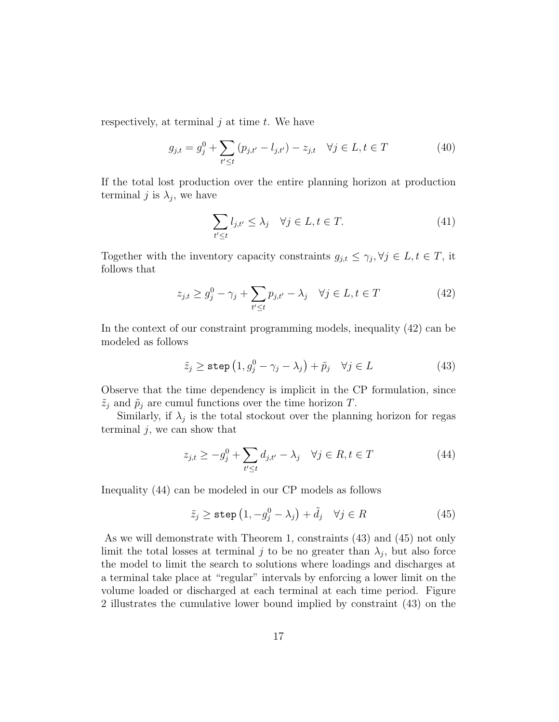respectively, at terminal  $j$  at time  $t$ . We have

$$
g_{j,t} = g_j^0 + \sum_{t' \le t} (p_{j,t'} - l_{j,t'}) - z_{j,t} \quad \forall j \in L, t \in T
$$
 (40)

If the total lost production over the entire planning horizon at production terminal *j* is  $\lambda_j$ , we have

$$
\sum_{t' \le t} l_{j,t'} \le \lambda_j \quad \forall j \in L, t \in T. \tag{41}
$$

Together with the inventory capacity constraints  $g_{j,t} \leq \gamma_j, \forall j \in L, t \in T$ , it follows that

$$
z_{j,t} \ge g_j^0 - \gamma_j + \sum_{t' \le t} p_{j,t'} - \lambda_j \quad \forall j \in L, t \in T
$$
 (42)

In the context of our constraint programming models, inequality (42) can be modeled as follows

$$
\tilde{z}_j \ge \text{step}\left(1, g_j^0 - \gamma_j - \lambda_j\right) + \tilde{p}_j \quad \forall j \in L \tag{43}
$$

Observe that the time dependency is implicit in the CP formulation, since  $\tilde{z}_j$  and  $\tilde{p}_j$  are cumul functions over the time horizon T.

Similarly, if  $\lambda_j$  is the total stockout over the planning horizon for regas terminal  $j$ , we can show that

$$
z_{j,t} \ge -g_j^0 + \sum_{t' \le t} d_{j,t'} - \lambda_j \quad \forall j \in R, t \in T
$$
\n
$$
(44)
$$

Inequality (44) can be modeled in our CP models as follows

$$
\tilde{z}_j \ge \text{step}\left(1, -g_j^0 - \lambda_j\right) + \tilde{d}_j \quad \forall j \in R \tag{45}
$$

As we will demonstrate with Theorem 1, constraints (43) and (45) not only limit the total losses at terminal j to be no greater than  $\lambda_j$ , but also force the model to limit the search to solutions where loadings and discharges at a terminal take place at "regular" intervals by enforcing a lower limit on the volume loaded or discharged at each terminal at each time period. Figure 2 illustrates the cumulative lower bound implied by constraint (43) on the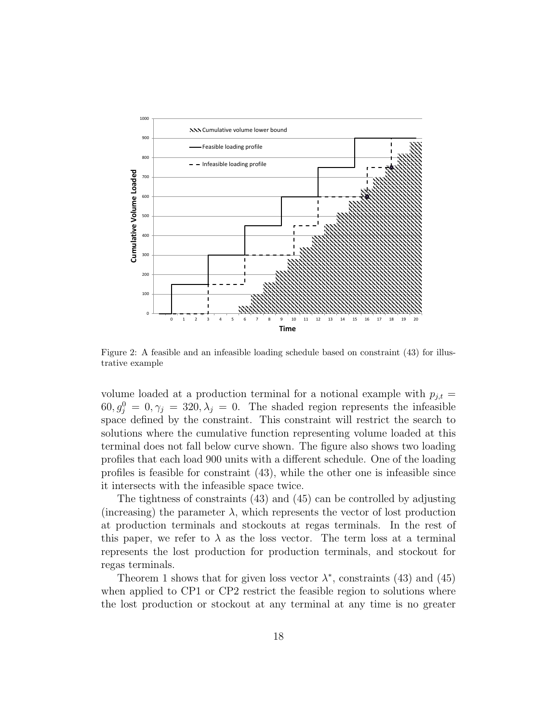

Figure 2: A feasible and an infeasible loading schedule based on constraint (43) for illustrative example

volume loaded at a production terminal for a notional example with  $p_{j,t} =$  $60, g_j^0 = 0, \gamma_j = 320, \lambda_j = 0$ . The shaded region represents the infeasible space defined by the constraint. This constraint will restrict the search to solutions where the cumulative function representing volume loaded at this terminal does not fall below curve shown. The figure also shows two loading profiles that each load 900 units with a different schedule. One of the loading profiles is feasible for constraint (43), while the other one is infeasible since it intersects with the infeasible space twice.

The tightness of constraints (43) and (45) can be controlled by adjusting (increasing) the parameter  $\lambda$ , which represents the vector of lost production at production terminals and stockouts at regas terminals. In the rest of this paper, we refer to  $\lambda$  as the loss vector. The term loss at a terminal represents the lost production for production terminals, and stockout for regas terminals.

Theorem 1 shows that for given loss vector  $\lambda^*$ , constraints (43) and (45) when applied to CP1 or CP2 restrict the feasible region to solutions where the lost production or stockout at any terminal at any time is no greater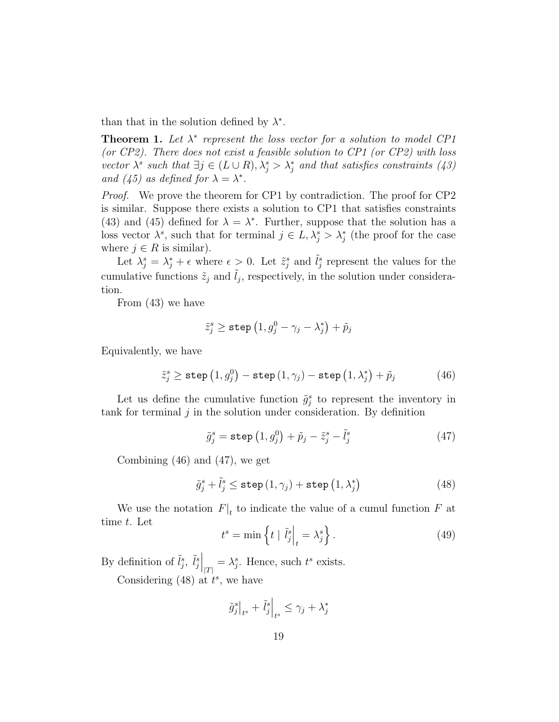than that in the solution defined by  $\lambda^*$ .

**Theorem 1.** Let  $\lambda^*$  represent the loss vector for a solution to model CP1 (or CP2). There does not exist a feasible solution to CP1 (or CP2) with loss vector  $\lambda^s$  such that  $\exists j \in (L \cup R), \lambda_j^s > \lambda_j^*$  and that satisfies constraints  $(43)$ and (45) as defined for  $\lambda = \lambda^*$ .

Proof. We prove the theorem for CP1 by contradiction. The proof for CP2 is similar. Suppose there exists a solution to CP1 that satisfies constraints (43) and (45) defined for  $\lambda = \lambda^*$ . Further, suppose that the solution has a loss vector  $\lambda^s$ , such that for terminal  $j \in L, \lambda_j^s > \lambda_j^*$  (the proof for the case where  $j \in R$  is similar).

Let  $\lambda_j^s = \lambda_j^* + \epsilon$  where  $\epsilon > 0$ . Let  $\tilde{z}_j^s$  and  $\tilde{l}_j^s$  represent the values for the cumulative functions  $\tilde{z}_j$  and  $\tilde{l}_j$ , respectively, in the solution under consideration.

From (43) we have

$$
\tilde{z}^s_j \geq \mathtt{step}\left(1, g^0_j - \gamma_j - \lambda^*_j\right) + \tilde{p}_j
$$

Equivalently, we have

$$
\tilde{z}_{j}^{s} \geq \text{step}\left(1, g_{j}^{0}\right) - \text{step}\left(1, \gamma_{j}\right) - \text{step}\left(1, \lambda_{j}^{*}\right) + \tilde{p}_{j} \tag{46}
$$

Let us define the cumulative function  $\tilde{g}_j^s$  to represent the inventory in tank for terminal  $j$  in the solution under consideration. By definition

$$
\tilde{g}_j^s = \text{step}\left(1, g_j^0\right) + \tilde{p}_j - \tilde{z}_j^s - \tilde{l}_j^s \tag{47}
$$

Combining (46) and (47), we get

$$
\tilde{g}_j^s + \tilde{l}_j^s \le \text{step}\left(1, \gamma_j\right) + \text{step}\left(1, \lambda_j^*\right) \tag{48}
$$

We use the notation  $F|_t$  to indicate the value of a cumul function F at time t. Let

$$
t^s = \min\left\{t \mid \tilde{l}_j^s \big|_t = \lambda_j^s\right\}.
$$
\n(49)

By definition of  $\left.\tilde{l}_j^s, \ \tilde{l}_j^s\right|_{|T|} = \lambda_j^s$ . Hence, such  $t^s$  exists.

Considering (48) at  $t^s$ , we have

$$
\tilde{g}_j^s\big|_{t^s} + \tilde{l}_j^s\Big|_{t^s} \le \gamma_j + \lambda_j^*
$$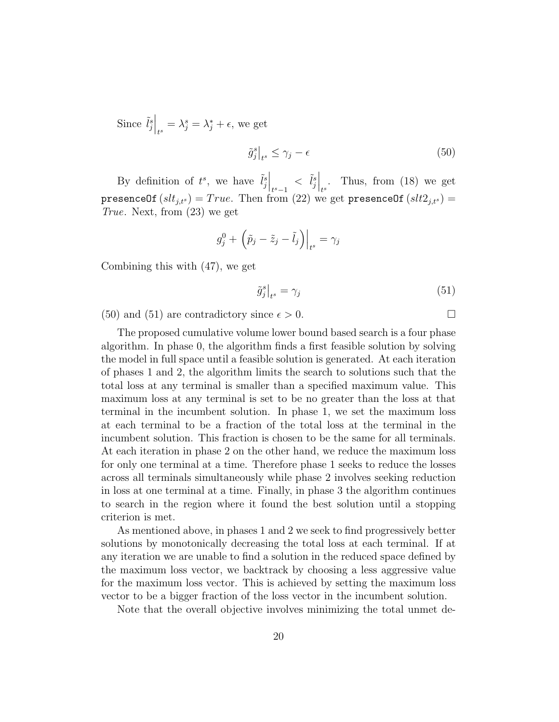Since  $\left.\tilde{l}_j^s\right|_{t^s} = \lambda_j^s = \lambda_j^* + \epsilon$ , we get

$$
\tilde{g}_j^s|_{t^s} \le \gamma_j - \epsilon \tag{50}
$$

By definition of  $t^s$ , we have  $\tilde{l}_j^s\Big|_{t^s-1} < \tilde{l}_j^s\Big|_{t^s}$ . Thus, from (18) we get presenceOf  $(stt_{j,t^s}) = True$ . Then from (22) we get presenceOf  $(stt2_{j,t^s}) =$ True. Next, from (23) we get

$$
g_j^0 + \left(\tilde{p}_j - \tilde{z}_j - \tilde{l}_j\right)\Big|_{t^s} = \gamma_j
$$

Combining this with (47), we get

$$
\tilde{g}_j^s\big|_{t^s} = \gamma_j \tag{51}
$$

(50) and (51) are contradictory since  $\epsilon > 0$ .

The proposed cumulative volume lower bound based search is a four phase algorithm. In phase 0, the algorithm finds a first feasible solution by solving the model in full space until a feasible solution is generated. At each iteration of phases 1 and 2, the algorithm limits the search to solutions such that the total loss at any terminal is smaller than a specified maximum value. This maximum loss at any terminal is set to be no greater than the loss at that terminal in the incumbent solution. In phase 1, we set the maximum loss at each terminal to be a fraction of the total loss at the terminal in the incumbent solution. This fraction is chosen to be the same for all terminals. At each iteration in phase 2 on the other hand, we reduce the maximum loss for only one terminal at a time. Therefore phase 1 seeks to reduce the losses across all terminals simultaneously while phase 2 involves seeking reduction in loss at one terminal at a time. Finally, in phase 3 the algorithm continues to search in the region where it found the best solution until a stopping criterion is met.

As mentioned above, in phases 1 and 2 we seek to find progressively better solutions by monotonically decreasing the total loss at each terminal. If at any iteration we are unable to find a solution in the reduced space defined by the maximum loss vector, we backtrack by choosing a less aggressive value for the maximum loss vector. This is achieved by setting the maximum loss vector to be a bigger fraction of the loss vector in the incumbent solution.

Note that the overall objective involves minimizing the total unmet de-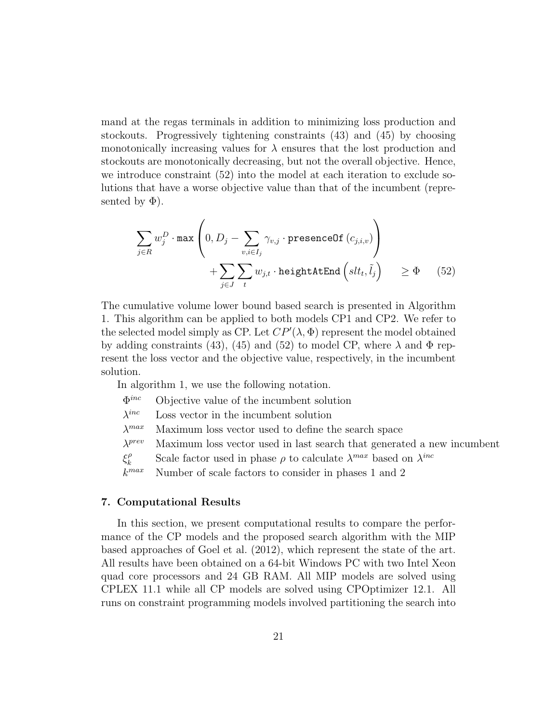mand at the regas terminals in addition to minimizing loss production and stockouts. Progressively tightening constraints (43) and (45) by choosing monotonically increasing values for  $\lambda$  ensures that the lost production and stockouts are monotonically decreasing, but not the overall objective. Hence, we introduce constraint (52) into the model at each iteration to exclude solutions that have a worse objective value than that of the incumbent (represented by  $\Phi$ ).

$$
\sum_{j \in R} w_j^D \cdot \max \left(0, D_j - \sum_{v,i \in I_j} \gamma_{v,j} \cdot \text{presenceOf}(c_{j,i,v})\right) + \sum_{j \in J} \sum_t w_{j,t} \cdot \text{heightAtEnd}\left(slt_t, \tilde{l}_j\right) \ge \Phi \quad (52)
$$

The cumulative volume lower bound based search is presented in Algorithm 1. This algorithm can be applied to both models CP1 and CP2. We refer to the selected model simply as CP. Let  $CP'(\lambda, \Phi)$  represent the model obtained by adding constraints (43), (45) and (52) to model CP, where  $\lambda$  and  $\Phi$  represent the loss vector and the objective value, respectively, in the incumbent solution.

In algorithm 1, we use the following notation.

 $\Phi^{inc}$ Objective value of the incumbent solution

λ Loss vector in the incumbent solution

 $\lambda^{max}$ Maximum loss vector used to define the search space

 $\lambda^{prev}$ Maximum loss vector used in last search that generated a new incumbent

ξ ρ k Scale factor used in phase  $\rho$  to calculate  $\lambda^{max}$  based on  $\lambda^{inc}$ 

 $k^{max}$ Number of scale factors to consider in phases 1 and 2

#### 7. Computational Results

In this section, we present computational results to compare the performance of the CP models and the proposed search algorithm with the MIP based approaches of Goel et al. (2012), which represent the state of the art. All results have been obtained on a 64-bit Windows PC with two Intel Xeon quad core processors and 24 GB RAM. All MIP models are solved using CPLEX 11.1 while all CP models are solved using CPOptimizer 12.1. All runs on constraint programming models involved partitioning the search into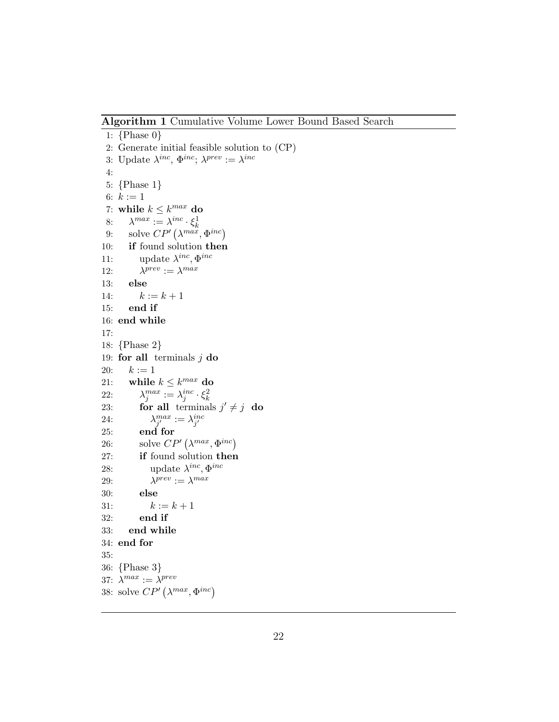Algorithm 1 Cumulative Volume Lower Bound Based Search

1: {Phase 0} 2: Generate initial feasible solution to (CP) 3: Update  $\lambda^{inc}$ ,  $\Phi^{inc}$ ;  $\lambda^{prev}$  :=  $\lambda^{inc}$ 4: 5: {Phase 1} 6:  $k := 1$ 7: while  $k \leq k^{max}$  do 8:  $\lambda^{max} := \lambda^{inc} \cdot \xi_k^1$ 9: solve  $CP'(\lambda^{max}, \Phi^{inc})$ 10: if found solution then 11: update  $\lambda^{inc}$ ,  $\Phi^{inc}$ 12:  $^{prev} := \lambda^{max}$ 13: else 14:  $k := k + 1$ 15: end if 16: end while 17: 18: {Phase 2} 19: for all terminals  $j$  do 20:  $k := 1$ 21: while  $k \leq k^{max}$  do  $22:$  $j^{max} := \lambda_j^{inc} \cdot \xi_k^2$ 23: for all terminals  $j' \neq j$  do  $24:$  $\lim_{j'} m = \lambda_{j'}^{inc}$ 25: end for 26: solve  $CP'(\lambda^{max}, \Phi^{inc})$ 27: if found solution then 28: update  $\lambda^{inc}, \Phi^{inc}$ 29:  $^{prev} := \lambda^{max}$ 30: else 31:  $k := k + 1$ 32: end if 33: end while 34: end for 35: 36: {Phase 3} 37:  $\lambda^{max} := \lambda^{prev}$ 38: solve  $CP'(\lambda^{max}, \Phi^{inc})$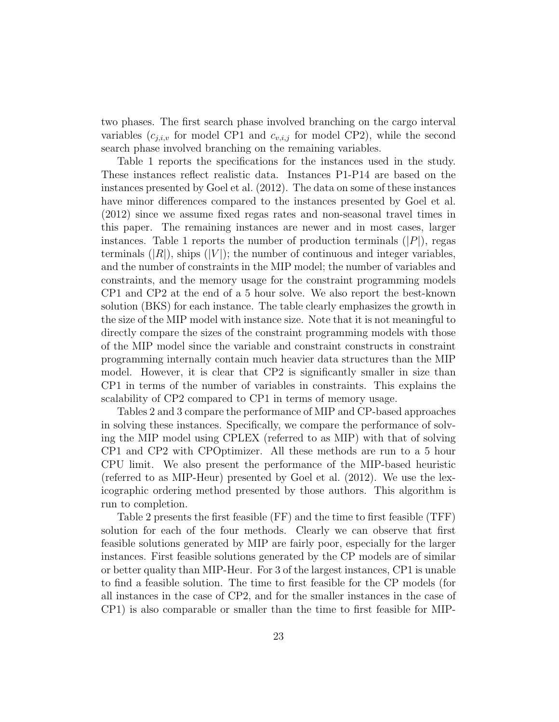two phases. The first search phase involved branching on the cargo interval variables  $(c_{j,i,v}$  for model CP1 and  $c_{v,i,j}$  for model CP2), while the second search phase involved branching on the remaining variables.

Table 1 reports the specifications for the instances used in the study. These instances reflect realistic data. Instances P1-P14 are based on the instances presented by Goel et al. (2012). The data on some of these instances have minor differences compared to the instances presented by Goel et al. (2012) since we assume fixed regas rates and non-seasonal travel times in this paper. The remaining instances are newer and in most cases, larger instances. Table 1 reports the number of production terminals  $(|P|)$ , regas terminals  $(|R|)$ , ships  $(|V|)$ ; the number of continuous and integer variables, and the number of constraints in the MIP model; the number of variables and constraints, and the memory usage for the constraint programming models CP1 and CP2 at the end of a 5 hour solve. We also report the best-known solution (BKS) for each instance. The table clearly emphasizes the growth in the size of the MIP model with instance size. Note that it is not meaningful to directly compare the sizes of the constraint programming models with those of the MIP model since the variable and constraint constructs in constraint programming internally contain much heavier data structures than the MIP model. However, it is clear that CP2 is significantly smaller in size than CP1 in terms of the number of variables in constraints. This explains the scalability of CP2 compared to CP1 in terms of memory usage.

Tables 2 and 3 compare the performance of MIP and CP-based approaches in solving these instances. Specifically, we compare the performance of solving the MIP model using CPLEX (referred to as MIP) with that of solving CP1 and CP2 with CPOptimizer. All these methods are run to a 5 hour CPU limit. We also present the performance of the MIP-based heuristic (referred to as MIP-Heur) presented by Goel et al. (2012). We use the lexicographic ordering method presented by those authors. This algorithm is run to completion.

Table 2 presents the first feasible (FF) and the time to first feasible (TFF) solution for each of the four methods. Clearly we can observe that first feasible solutions generated by MIP are fairly poor, especially for the larger instances. First feasible solutions generated by the CP models are of similar or better quality than MIP-Heur. For 3 of the largest instances, CP1 is unable to find a feasible solution. The time to first feasible for the CP models (for all instances in the case of CP2, and for the smaller instances in the case of CP1) is also comparable or smaller than the time to first feasible for MIP-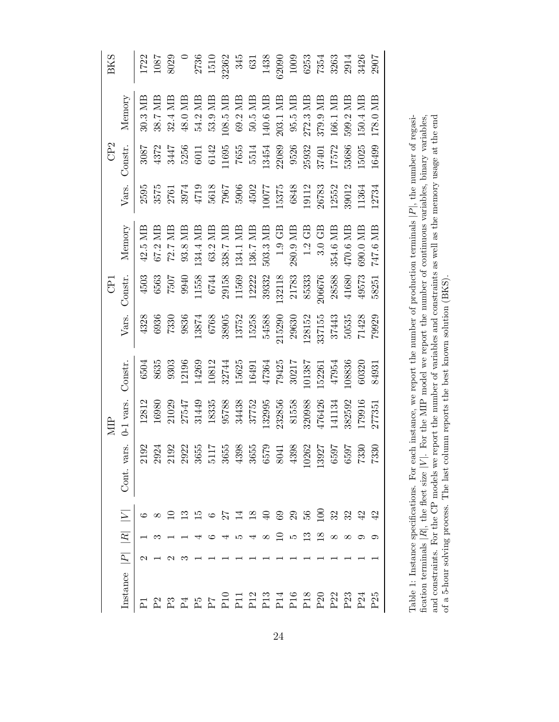|            |  |       |                                                                                                                                                                                                                                                                                                     |            |                |        | CP <sub>1</sub> |                    |                                                                                | C <sub>P</sub> <sub>2</sub> |                                                                                                           | <b>BKS</b>                                                                                             |
|------------|--|-------|-----------------------------------------------------------------------------------------------------------------------------------------------------------------------------------------------------------------------------------------------------------------------------------------------------|------------|----------------|--------|-----------------|--------------------|--------------------------------------------------------------------------------|-----------------------------|-----------------------------------------------------------------------------------------------------------|--------------------------------------------------------------------------------------------------------|
| R          |  | Cont. | vars                                                                                                                                                                                                                                                                                                | $0-1$ vars | Constr         | Vars.  | Constr.         | Memory             | Vars.                                                                          | Constr                      | Memory                                                                                                    |                                                                                                        |
|            |  |       |                                                                                                                                                                                                                                                                                                     | 12812      | 6504           |        | 4503            | 42.5 MB            | 2595                                                                           | <b>1808</b>                 | 30.3 MB                                                                                                   |                                                                                                        |
|            |  |       |                                                                                                                                                                                                                                                                                                     | 16980      | 8635           | 6936   | 6563            | $67.2~\mathrm{MB}$ | 3575                                                                           | 4372                        | $38.7~\mathrm{MB}$                                                                                        | 1087                                                                                                   |
|            |  |       |                                                                                                                                                                                                                                                                                                     | 21029      | 9303           | 7330   | 7507            | $72.7$ MB          |                                                                                |                             | $32.4~\mathrm{MB}$                                                                                        | 8029                                                                                                   |
|            |  |       |                                                                                                                                                                                                                                                                                                     | 27547      | 12196          | 9836   | 9940            | $93.8~\mathrm{MB}$ |                                                                                | $3447$<br>$5256$            |                                                                                                           |                                                                                                        |
|            |  |       |                                                                                                                                                                                                                                                                                                     | 31449      | 14269<br>10812 | 13874  | 11558           | 134.4 MB           | $\begin{array}{c} 2761 \\ 3974 \\ 4719 \\ 5618 \\ 7967 \\ 7967 \\ \end{array}$ | 6011                        | $\begin{array}{c} 48.0 \text{ }\text{MB} \\ 54.2 \text{ }\text{MB} \\ 53.9 \text{ }\text{MB} \end{array}$ |                                                                                                        |
|            |  |       |                                                                                                                                                                                                                                                                                                     | 18335      |                | 6768   | 6744            | 63.2 MB            |                                                                                | 6142                        |                                                                                                           |                                                                                                        |
| 4          |  |       |                                                                                                                                                                                                                                                                                                     | 95788      | 32744          | 38905  | 29158           | 338.7 MB           |                                                                                | 1695                        | 108.5 MB                                                                                                  |                                                                                                        |
| ΙQ.        |  |       | $\begin{array}{l} 23.37 \\ 23.24 \\ 24.37 \\ 25.48 \\ 26.50 \\ 27.50 \\ 28.50 \\ 29.50 \\ 20.51 \\ 23.50 \\ 24.50 \\ 25.50 \\ 26.50 \\ 27.50 \\ 28.50 \\ 29.50 \\ 24.50 \\ 25.50 \\ 26.50 \\ 27.50 \\ 28.50 \\ 29.50 \\ 29.50 \\ 24.50 \\ 25.50 \\ 27.50 \\ 28.50 \\ 29.50 \\ 29.50 \\ 29.50 \\ 29$ | 34438      | 15625          | 13752  | 11569           | 134.1 MB           |                                                                                | $7655\atop5514$             | $69.2$ MB $50.5$ MB                                                                                       | $\begin{array}{c} 2736 \\ 1510 \\ 1502 \\ 32362 \\ 631 \\ 631 \\ 1438 \\ 62090 \\ 1009 \\ \end{array}$ |
| $4 \infty$ |  |       |                                                                                                                                                                                                                                                                                                     | 37752      | 16491          | 15258  | 12222           | 136.7 MB           | 4502                                                                           |                             |                                                                                                           |                                                                                                        |
|            |  |       |                                                                                                                                                                                                                                                                                                     | 132995     | 47364          | 54588  | 39332           | 503.3 MB           | 10077                                                                          | 13454                       | $140.6~\mathrm{MB}$                                                                                       |                                                                                                        |
|            |  |       |                                                                                                                                                                                                                                                                                                     | 232856     | 79425          | 215290 | 132118          | 1.9 GB             | 15375                                                                          | 22089                       | $203.1~\mathrm{MB}$                                                                                       |                                                                                                        |
|            |  |       |                                                                                                                                                                                                                                                                                                     | 81558      | 30217          | 29630  | 21783           | 280.9 MB           | 6848                                                                           | 9526                        | $95.5\ \mathrm{MB}$                                                                                       |                                                                                                        |
|            |  |       |                                                                                                                                                                                                                                                                                                     | 320988     | 101387         | 128152 | 85333           | $1.2$ GB           | 19112                                                                          | 25932                       | $272.3$ MB                                                                                                |                                                                                                        |
|            |  |       |                                                                                                                                                                                                                                                                                                     | 476426     | 152261         | 337155 | 206676          | 3.0 GB             | 26783                                                                          | 37401                       | 379.9 MB                                                                                                  | $6253$<br>$7354$<br>$3263$                                                                             |
| 9599888    |  |       | $\begin{array}{c} 10262 \\ 13927 \\ 6597 \\ 6597 \\ 6597 \\ 7330 \end{array}$                                                                                                                                                                                                                       | 141134     | 47954          | 37443  | 28588           | 354.6 MB           | 12552                                                                          | 17572                       | 166.1 MB                                                                                                  |                                                                                                        |
|            |  |       |                                                                                                                                                                                                                                                                                                     | 382592     | 108836         | 50535  | 41680           | 470.6 MB           | 39012                                                                          | 53686                       | 599.2 MB                                                                                                  | 2914                                                                                                   |
|            |  |       |                                                                                                                                                                                                                                                                                                     | 179916     | 60320          | 71428  | 49573           | 690.0 MB           | 11364                                                                          | 15025                       | $\overline{M}$<br>150.4                                                                                   | 3426                                                                                                   |
|            |  |       | 7330                                                                                                                                                                                                                                                                                                | 277351     | 84931          | 79929  | 58251           | 747.6 MB           | 12734                                                                          | 16499                       | 178.0 MB                                                                                                  | 2907                                                                                                   |
|            |  |       |                                                                                                                                                                                                                                                                                                     |            |                |        |                 |                    |                                                                                |                             |                                                                                                           |                                                                                                        |

Table 1: Instance specifications. For each instance, we report the number of production terminals  $|P|$ , the number of regasification terminals  $|R|$ , the fleet size  $|V|$ . For the MIP model we report the number of continuous variables, binary variables, and constraints. For the CP models we report the number of variables and constraints as well as the memory usage at the end of a 5-hour solving process. The last column reports the best known solution (BKS). Table 1: Instance specifications. For each instance, we report the number of production terminals |P|, the number of regasiand constraints. For the CP models we report the number of variables and constraints as well as the memory usage at the end fication terminals  $|R|$ , the fleet size  $|V|$ . For the MIP model we report the number of continuous variables, binary variables, of a 5-hour solving process. The last column reports the best known solution (BKS).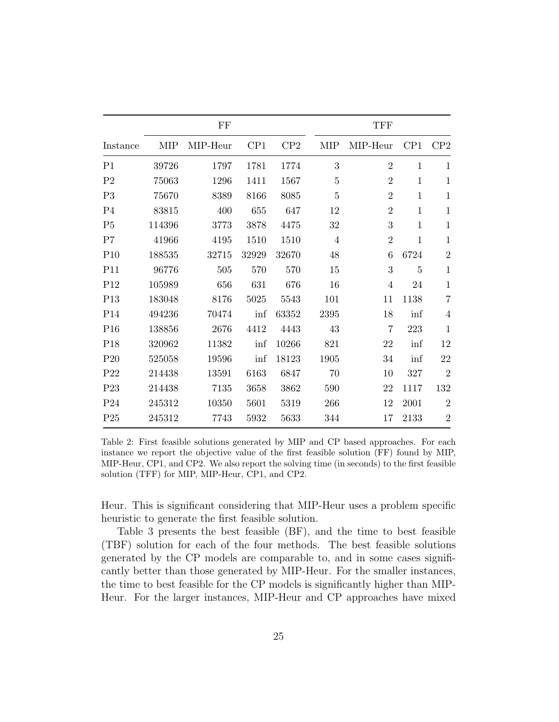|                 | FF         |          |       |       | <b>TFF</b>     |                |              |                |
|-----------------|------------|----------|-------|-------|----------------|----------------|--------------|----------------|
| Instance        | <b>MIP</b> | MIP-Heur | CP1   | CP2   | <b>MIP</b>     | MIP-Heur       | CP1          | CP2            |
| P <sub>1</sub>  | 39726      | 1797     | 1781  | 1774  | 3              | $\overline{2}$ | $\mathbf{1}$ | $\mathbf{1}$   |
| P <sub>2</sub>  | 75063      | 1296     | 1411  | 1567  | $\overline{5}$ | $\overline{2}$ | $\mathbf{1}$ | $\mathbf{1}$   |
| P <sub>3</sub>  | 75670      | 8389     | 8166  | 8085  | $\overline{5}$ | $\overline{2}$ | $\mathbf{1}$ | $\mathbf{1}$   |
| P <sub>4</sub>  | 83815      | 400      | 655   | 647   | 12             | $\overline{2}$ | $\mathbf{1}$ | $\mathbf{1}$   |
| P <sub>5</sub>  | 114396     | 3773     | 3878  | 4475  | 32             | 3              | 1            | $\mathbf{1}$   |
| P7              | 41966      | 4195     | 1510  | 1510  | 4              | $\overline{2}$ | $\mathbf{1}$ | $\mathbf{1}$   |
| P10             | 188535     | 32715    | 32929 | 32670 | 48             | 6              | 6724         | $\overline{2}$ |
| <b>P11</b>      | 96776      | 505      | 570   | 570   | 15             | 3              | 5            | $\mathbf{1}$   |
| P <sub>12</sub> | 105989     | 656      | 631   | 676   | 16             | $\overline{4}$ | 24           | $\mathbf{1}$   |
| P <sub>13</sub> | 183048     | 8176     | 5025  | 5543  | 101            | 11             | 1138         | $\overline{7}$ |
| P <sub>14</sub> | 494236     | 70474    | inf   | 63352 | 2395           | 18             | inf          | $\overline{4}$ |
| P <sub>16</sub> | 138856     | 2676     | 4412  | 4443  | 43             | $\overline{7}$ | 223          | $\mathbf{1}$   |
| P <sub>18</sub> | 320962     | 11382    | inf   | 10266 | 821            | 22             | inf          | 12             |
| P20             | 525058     | 19596    | inf   | 18123 | 1905           | 34             | inf          | 22             |
| P <sub>22</sub> | 214438     | 13591    | 6163  | 6847  | 70             | 10             | 327          | $\overline{2}$ |
| P23             | 214438     | 7135     | 3658  | 3862  | 590            | 22             | 1117         | 132            |
| P24             | 245312     | 10350    | 5601  | 5319  | 266            | 12             | 2001         | $\overline{2}$ |
| P <sub>25</sub> | 245312     | 7743     | 5932  | 5633  | 344            | 17             | 2133         | $\overline{2}$ |

Table 2: First feasible solutions generated by MIP and CP based approaches. For each instance we report the objective value of the first feasible solution (FF) found by MIP, MIP-Heur, CP1, and CP2. We also report the solving time (in seconds) to the first feasible solution (TFF) for MIP, MIP-Heur, CP1, and CP2.

Heur. This is significant considering that MIP-Heur uses a problem specific heuristic to generate the first feasible solution.

Table 3 presents the best feasible (BF), and the time to best feasible (TBF) solution for each of the four methods. The best feasible solutions generated by the CP models are comparable to, and in some cases significantly better than those generated by MIP-Heur. For the smaller instances, the time to best feasible for the CP models is significantly higher than MIP-Heur. For the larger instances, MIP-Heur and CP approaches have mixed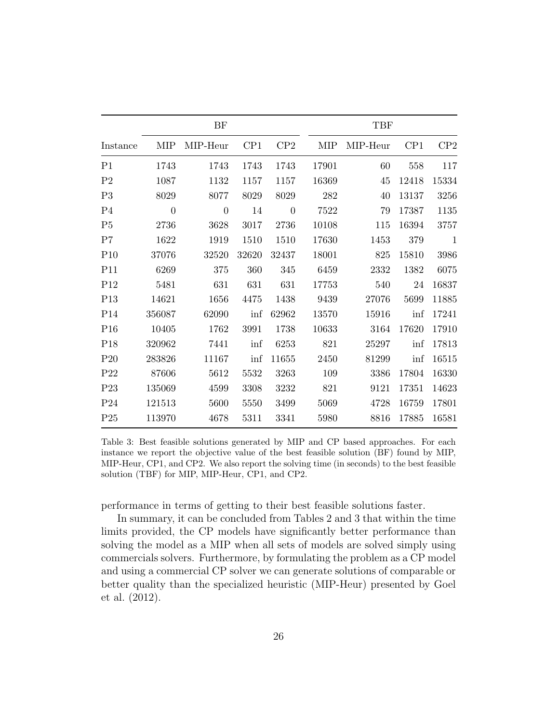|                 |                | BF             |       |                |       | TBF      |       |              |
|-----------------|----------------|----------------|-------|----------------|-------|----------|-------|--------------|
| Instance        | <b>MIP</b>     | MIP-Heur       | CP1   | CP2            | MIP   | MIP-Heur | CP1   | CP2          |
| P <sub>1</sub>  | 1743           | 1743           | 1743  | 1743           | 17901 | 60       | 558   | 117          |
| P <sub>2</sub>  | 1087           | 1132           | 1157  | 1157           | 16369 | 45       | 12418 | 15334        |
| P <sub>3</sub>  | 8029           | 8077           | 8029  | 8029           | 282   | 40       | 13137 | 3256         |
| P4              | $\overline{0}$ | $\overline{0}$ | 14    | $\overline{0}$ | 7522  | 79       | 17387 | 1135         |
| P <sub>5</sub>  | 2736           | 3628           | 3017  | 2736           | 10108 | 115      | 16394 | 3757         |
| P7              | 1622           | 1919           | 1510  | 1510           | 17630 | 1453     | 379   | $\mathbf{1}$ |
| P10             | 37076          | 32520          | 32620 | 32437          | 18001 | 825      | 15810 | 3986         |
| P <sub>11</sub> | 6269           | 375            | 360   | 345            | 6459  | 2332     | 1382  | 6075         |
| P12             | 5481           | 631            | 631   | 631            | 17753 | 540      | 24    | 16837        |
| P <sub>13</sub> | 14621          | 1656           | 4475  | 1438           | 9439  | 27076    | 5699  | 11885        |
| P <sub>14</sub> | 356087         | 62090          | inf   | 62962          | 13570 | 15916    | inf   | 17241        |
| P <sub>16</sub> | 10405          | 1762           | 3991  | 1738           | 10633 | 3164     | 17620 | 17910        |
| P <sub>18</sub> | 320962         | 7441           | inf   | 6253           | 821   | 25297    | inf   | 17813        |
| P <sub>20</sub> | 283826         | 11167          | inf   | 11655          | 2450  | 81299    | inf   | 16515        |
| P <sub>22</sub> | 87606          | 5612           | 5532  | 3263           | 109   | 3386     | 17804 | 16330        |
| P23             | 135069         | 4599           | 3308  | 3232           | 821   | 9121     | 17351 | 14623        |
| P24             | 121513         | 5600           | 5550  | 3499           | 5069  | 4728     | 16759 | 17801        |
| P <sub>25</sub> | 113970         | 4678           | 5311  | 3341           | 5980  | 8816     | 17885 | 16581        |
|                 |                |                |       |                |       |          |       |              |

Table 3: Best feasible solutions generated by MIP and CP based approaches. For each instance we report the objective value of the best feasible solution (BF) found by MIP, MIP-Heur, CP1, and CP2. We also report the solving time (in seconds) to the best feasible solution (TBF) for MIP, MIP-Heur, CP1, and CP2.

performance in terms of getting to their best feasible solutions faster.

In summary, it can be concluded from Tables 2 and 3 that within the time limits provided, the CP models have significantly better performance than solving the model as a MIP when all sets of models are solved simply using commercials solvers. Furthermore, by formulating the problem as a CP model and using a commercial CP solver we can generate solutions of comparable or better quality than the specialized heuristic (MIP-Heur) presented by Goel et al. (2012).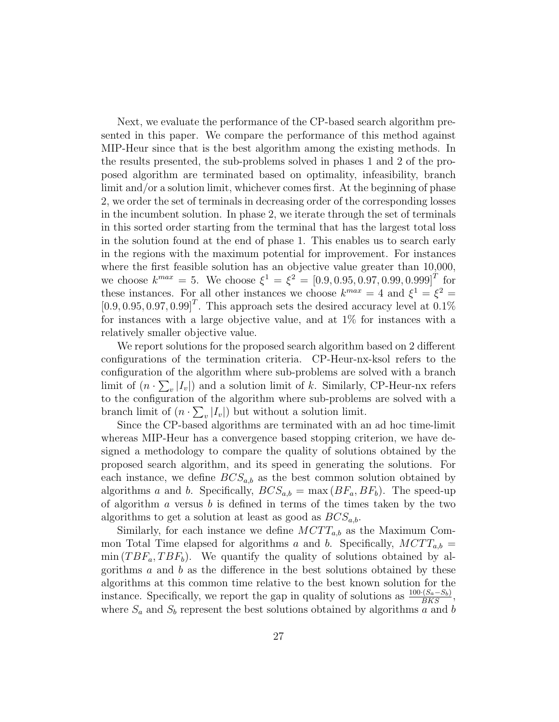Next, we evaluate the performance of the CP-based search algorithm presented in this paper. We compare the performance of this method against MIP-Heur since that is the best algorithm among the existing methods. In the results presented, the sub-problems solved in phases 1 and 2 of the proposed algorithm are terminated based on optimality, infeasibility, branch limit and/or a solution limit, whichever comes first. At the beginning of phase 2, we order the set of terminals in decreasing order of the corresponding losses in the incumbent solution. In phase 2, we iterate through the set of terminals in this sorted order starting from the terminal that has the largest total loss in the solution found at the end of phase 1. This enables us to search early in the regions with the maximum potential for improvement. For instances where the first feasible solution has an objective value greater than 10,000, we choose  $k^{max} = 5$ . We choose  $\xi^1 = \xi^2 = [0.9, 0.95, 0.97, 0.99, 0.999]^T$  for these instances. For all other instances we choose  $k^{max} = 4$  and  $\xi^1 = \xi^2 =$  $[0.9, 0.95, 0.97, 0.99]^T$ . This approach sets the desired accuracy level at 0.1% for instances with a large objective value, and at 1% for instances with a relatively smaller objective value.

We report solutions for the proposed search algorithm based on 2 different configurations of the termination criteria. CP-Heur-nx-ksol refers to the configuration of the algorithm where sub-problems are solved with a branch limit of  $(n \cdot \sum_{v} |I_v|)$  and a solution limit of k. Similarly, CP-Heur-nx refers to the configuration of the algorithm where sub-problems are solved with a branch limit of  $(n \cdot \sum_{v} |I_v|)$  but without a solution limit.

Since the CP-based algorithms are terminated with an ad hoc time-limit whereas MIP-Heur has a convergence based stopping criterion, we have designed a methodology to compare the quality of solutions obtained by the proposed search algorithm, and its speed in generating the solutions. For each instance, we define  $BCS_{a,b}$  as the best common solution obtained by algorithms a and b. Specifically,  $BCS_{a,b} = \max(BF_a, BF_b)$ . The speed-up of algorithm  $\alpha$  versus  $\delta$  is defined in terms of the times taken by the two algorithms to get a solution at least as good as  $BCS_{a,b}$ .

Similarly, for each instance we define  $MCTT_{a,b}$  as the Maximum Common Total Time elapsed for algorithms a and b. Specifically,  $MCTT_{a,b} =$  $\min (TBF_a, TBF_b)$ . We quantify the quality of solutions obtained by algorithms  $a$  and  $b$  as the difference in the best solutions obtained by these algorithms at this common time relative to the best known solution for the instance. Specifically, we report the gap in quality of solutions as  $\frac{100 \cdot (S_a - S_b)}{BKS}$ , where  $S_a$  and  $S_b$  represent the best solutions obtained by algorithms a and b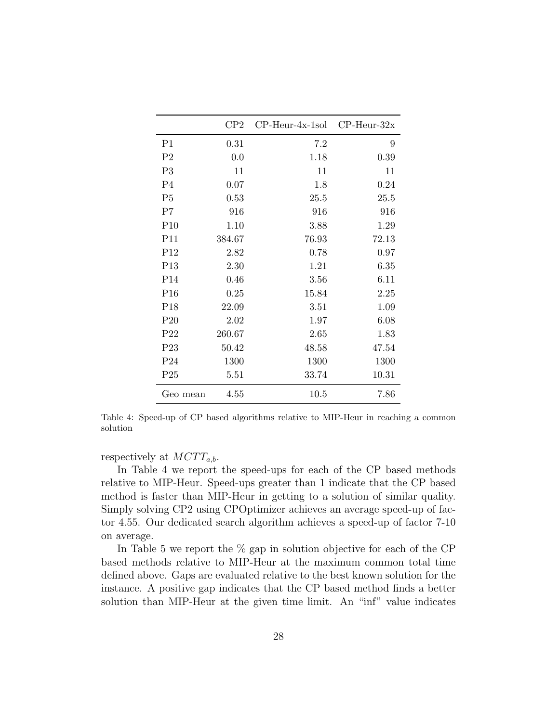|                 | CP2    | CP-Heur-4x-1sol | $CP$ -Heur- $32x$ |
|-----------------|--------|-----------------|-------------------|
| P <sub>1</sub>  | 0.31   | 7.2             | 9                 |
| P <sub>2</sub>  | 0.0    | 1.18            | 0.39              |
| P3              | 11     | 11              | 11                |
| P <sub>4</sub>  | 0.07   | 1.8             | 0.24              |
| P <sub>5</sub>  | 0.53   | 25.5            | 25.5              |
| P7              | 916    | 916             | 916               |
| P10             | 1.10   | 3.88            | 1.29              |
| P <sub>11</sub> | 384.67 | 76.93           | 72.13             |
| P12             | 2.82   | 0.78            | 0.97              |
| P <sub>13</sub> | 2.30   | 1.21            | 6.35              |
| P14             | 0.46   | 3.56            | 6.11              |
| P <sub>16</sub> | 0.25   | 15.84           | 2.25              |
| P <sub>18</sub> | 22.09  | 3.51            | 1.09              |
| P20             | 2.02   | 1.97            | 6.08              |
| P <sub>22</sub> | 260.67 | 2.65            | 1.83              |
| P23             | 50.42  | 48.58           | 47.54             |
| P24             | 1300   | 1300            | 1300              |
| P <sub>25</sub> | 5.51   | 33.74           | 10.31             |
| Geo mean        | 4.55   | 10.5            | 7.86              |

Table 4: Speed-up of CP based algorithms relative to MIP-Heur in reaching a common solution

# respectively at  $MCTT_{a,b}$ .

In Table 4 we report the speed-ups for each of the CP based methods relative to MIP-Heur. Speed-ups greater than 1 indicate that the CP based method is faster than MIP-Heur in getting to a solution of similar quality. Simply solving CP2 using CPOptimizer achieves an average speed-up of factor 4.55. Our dedicated search algorithm achieves a speed-up of factor 7-10 on average.

In Table 5 we report the  $\%$  gap in solution objective for each of the CP based methods relative to MIP-Heur at the maximum common total time defined above. Gaps are evaluated relative to the best known solution for the instance. A positive gap indicates that the CP based method finds a better solution than MIP-Heur at the given time limit. An "inf" value indicates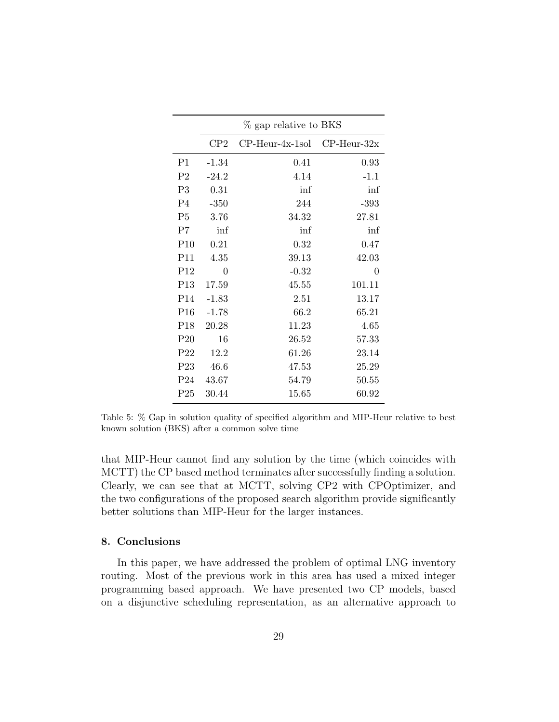|                  | % gap relative to BKS |                 |                |  |  |  |
|------------------|-----------------------|-----------------|----------------|--|--|--|
|                  | CP2                   | CP-Heur-4x-1sol | $CP$ -Heur-32x |  |  |  |
| P <sub>1</sub>   | -1.34                 | 0.41            | 0.93           |  |  |  |
| P <sub>2</sub>   | $-24.2$               | 4.14            | $-1.1$         |  |  |  |
| P <sub>3</sub>   | 0.31                  | inf             | inf            |  |  |  |
| P <sub>4</sub>   | $-350$                | 244             | $-393$         |  |  |  |
| P <sub>5</sub>   | 3.76                  | 34.32           | 27.81          |  |  |  |
| P7               | inf                   | inf             | inf            |  |  |  |
| P10              | 0.21                  | 0.32            | 0.47           |  |  |  |
| P <sub>11</sub>  | 4.35                  | 39.13           | 42.03          |  |  |  |
| P <sub>12</sub>  | $\theta$              | $-0.32$         | 0              |  |  |  |
| P <sub>13</sub>  | 17.59                 | 45.55           | 101.11         |  |  |  |
| P <sub>14</sub>  | $-1.83$               | 2.51            | 13.17          |  |  |  |
| P <sub>16</sub>  | $-1.78$               | 66.2            | 65.21          |  |  |  |
| P18              | 20.28                 | 11.23           | 4.65           |  |  |  |
| P <sub>20</sub>  | 16                    | 26.52           | 57.33          |  |  |  |
| P <sub>22</sub>  | 12.2                  | 61.26           | 23.14          |  |  |  |
| P <sub>2</sub> 3 | 46.6                  | 47.53           | 25.29          |  |  |  |
| P <sub>24</sub>  | 43.67                 | 54.79           | 50.55          |  |  |  |
| P <sub>25</sub>  | 30.44                 | 15.65           | 60.92          |  |  |  |

Table 5: % Gap in solution quality of specified algorithm and MIP-Heur relative to best known solution (BKS) after a common solve time

that MIP-Heur cannot find any solution by the time (which coincides with MCTT) the CP based method terminates after successfully finding a solution. Clearly, we can see that at MCTT, solving CP2 with CPOptimizer, and the two configurations of the proposed search algorithm provide significantly better solutions than MIP-Heur for the larger instances.

# 8. Conclusions

In this paper, we have addressed the problem of optimal LNG inventory routing. Most of the previous work in this area has used a mixed integer programming based approach. We have presented two CP models, based on a disjunctive scheduling representation, as an alternative approach to